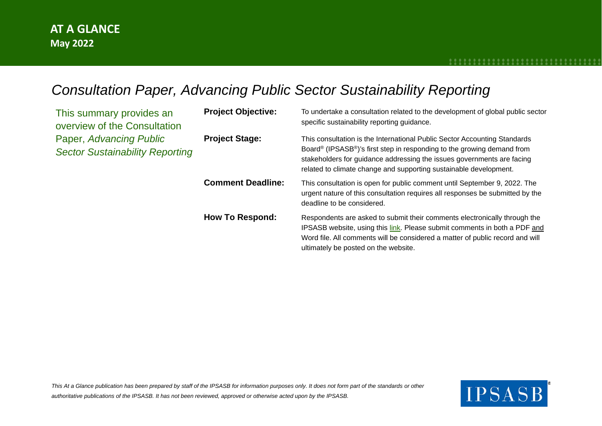## *Consultation Paper, Advancing Public Sector Sustainability Reporting*

| This summary provides an<br>overview of the Consultation          | <b>Project Objective:</b> | To undertake a consultation related to the development of global public sector<br>specific sustainability reporting guidance.                                                                                                                                                                                               |
|-------------------------------------------------------------------|---------------------------|-----------------------------------------------------------------------------------------------------------------------------------------------------------------------------------------------------------------------------------------------------------------------------------------------------------------------------|
| Paper, Advancing Public<br><b>Sector Sustainability Reporting</b> | <b>Project Stage:</b>     | This consultation is the International Public Sector Accounting Standards<br>Board <sup>®</sup> (IPSASB <sup>®</sup> )'s first step in responding to the growing demand from<br>stakeholders for guidance addressing the issues governments are facing<br>related to climate change and supporting sustainable development. |
|                                                                   | <b>Comment Deadline:</b>  | This consultation is open for public comment until September 9, 2022. The<br>urgent nature of this consultation requires all responses be submitted by the<br>deadline to be considered.                                                                                                                                    |
|                                                                   | <b>How To Respond:</b>    | Respondents are asked to submit their comments electronically through the<br>IPSASB website, using this link. Please submit comments in both a PDF and<br>Word file. All comments will be considered a matter of public record and will<br>ultimately be posted on the website.                                             |

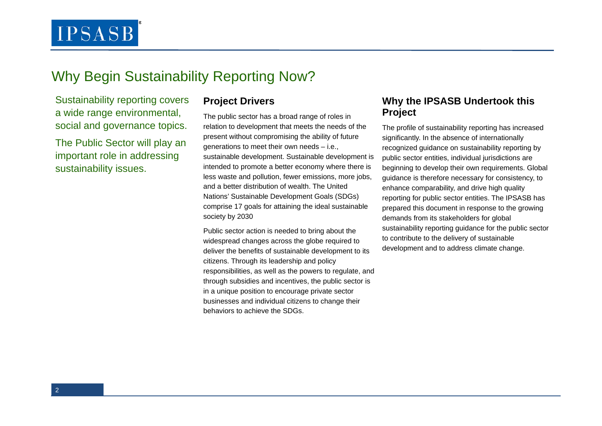## Why Begin Sustainability Reporting Now?

Sustainability reporting covers a wide range environmental, social and governance topics.

The Public Sector will play an important role in addressing sustainability issues.

#### **Project Drivers**

The public sector has a broad range of roles in relation to development that meets the needs of the present without compromising the ability of future generations to meet their own needs – i.e., sustainable development. Sustainable development is intended to promote a better economy where there is less waste and pollution, fewer emissions, more jobs, and a better distribution of wealth. The United Nations' Sustainable Development Goals (SDGs) comprise 17 goals for attaining the ideal sustainable society by 2030

Public sector action is needed to bring about the widespread changes across the globe required to deliver the benefits of sustainable development to its citizens. Through its leadership and policy responsibilities, as well as the powers to regulate, and through subsidies and incentives, the public sector is in a unique position to encourage private sector businesses and individual citizens to change their behaviors to achieve the SDGs.

#### **Why the IPSASB Undertook this Project**

The profile of sustainability reporting has increased significantly. In the absence of internationally recognized guidance on sustainability reporting by public sector entities, individual jurisdictions are beginning to develop their own requirements. Global guidance is therefore necessary for consistency, to enhance comparability, and drive high quality reporting for public sector entities. The IPSASB has prepared this document in response to the growing demands from its stakeholders for global sustainability reporting guidance for the public sector to contribute to the delivery of sustainable development and to address climate change.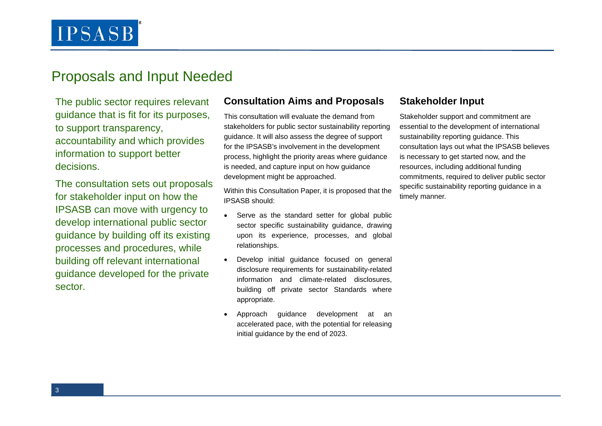## Proposals and Input Needed

The public sector requires relevant guidance that is fit for its purposes, to support transparency, accountability and which provides information to support better decisions.

The consultation sets out proposals for stakeholder input on how the IPSASB can move with urgency to develop international public sector guidance by building off its existing processes and procedures, while building off relevant international guidance developed for the private sector.

#### **Consultation Aims and Proposals**

This consultation will evaluate the demand from stakeholders for public sector sustainability reporting guidance. It will also assess the degree of support for the IPSASB's involvement in the development process, highlight the priority areas where guidance is needed, and capture input on how guidance development might be approached.

Within this Consultation Paper, it is proposed that the IPSASB should:

- Serve as the standard setter for global public sector specific sustainability guidance, drawing upon its experience, processes, and global relationships.
- Develop initial guidance focused on general disclosure requirements for sustainability-related information and climate-related disclosures, building off private sector Standards where appropriate.
- Approach guidance development at an accelerated pace, with the potential for releasing initial guidance by the end of 2023.

### **Stakeholder Input**

Stakeholder support and commitment are essential to the development of international sustainability reporting guidance. This consultation lays out what the IPSASB believes is necessary to get started now, and the resources, including additional funding commitments, required to deliver public sector specific sustainability reporting guidance in a timely manner.